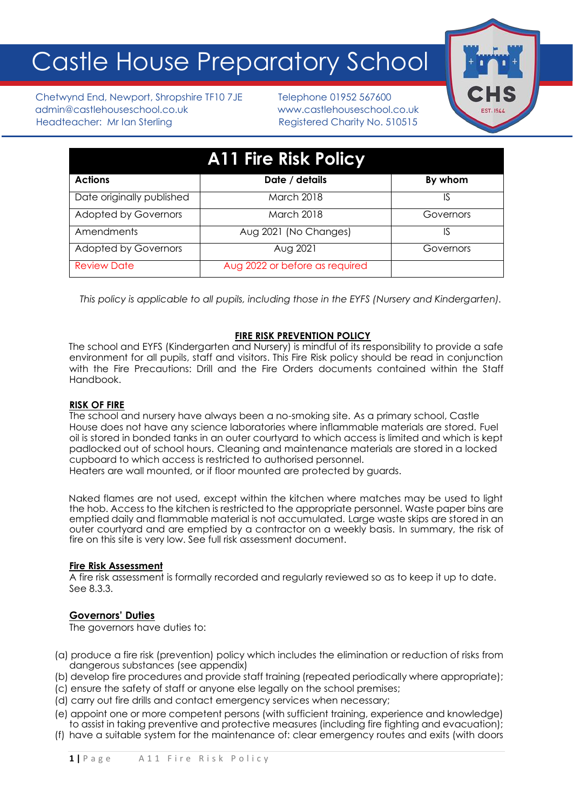# Castle House Preparatory School

Chetwynd End, Newport, Shropshire TF10 7JE Telephone 01952 567600 admin@castlehouseschool.co.uk www.castlehouseschool.co.uk Headteacher: Mr Ian Sterling Theory Registered Charity No. 510515



| <b>A11 Fire Risk Policy</b> |                                |           |
|-----------------------------|--------------------------------|-----------|
| <b>Actions</b>              | Date / details                 | By whom   |
| Date originally published   | <b>March 2018</b>              | IS        |
| <b>Adopted by Governors</b> | <b>March 2018</b>              | Governors |
| Amendments                  | Aug 2021 (No Changes)          | IS        |
| <b>Adopted by Governors</b> | Aug 2021                       | Governors |
| <b>Review Date</b>          | Aug 2022 or before as required |           |
|                             |                                |           |

*This policy is applicable to all pupils, including those in the EYFS (Nursery and Kindergarten).*

# **FIRE RISK PREVENTION POLICY**

The school and EYFS (Kindergarten and Nursery) is mindful of its responsibility to provide a safe environment for all pupils, staff and visitors. This Fire Risk policy should be read in conjunction with the Fire Precautions: Drill and the Fire Orders documents contained within the Staff Handbook.

# **RISK OF FIRE**

The school and nursery have always been a no-smoking site. As a primary school, Castle House does not have any science laboratories where inflammable materials are stored. Fuel oil is stored in bonded tanks in an outer courtyard to which access is limited and which is kept padlocked out of school hours. Cleaning and maintenance materials are stored in a locked cupboard to which access is restricted to authorised personnel.

Heaters are wall mounted, or if floor mounted are protected by guards.

Naked flames are not used, except within the kitchen where matches may be used to light the hob. Access to the kitchen is restricted to the appropriate personnel. Waste paper bins are emptied daily and flammable material is not accumulated. Large waste skips are stored in an outer courtyard and are emptied by a contractor on a weekly basis. In summary, the risk of fire on this site is very low. See full risk assessment document.

# **Fire Risk Assessment**

A fire risk assessment is formally recorded and regularly reviewed so as to keep it up to date. See 8.3.3.

# **Governors' Duties**

The governors have duties to:

- (a) produce a fire risk (prevention) policy which includes the elimination or reduction of risks from dangerous substances (see appendix)
- (b) develop fire procedures and provide staff training (repeated periodically where appropriate);
- (c) ensure the safety of staff or anyone else legally on the school premises;
- (d) carry out fire drills and contact emergency services when necessary;
- (e) appoint one or more competent persons (with sufficient training, experience and knowledge) to assist in taking preventive and protective measures (including fire fighting and evacuation);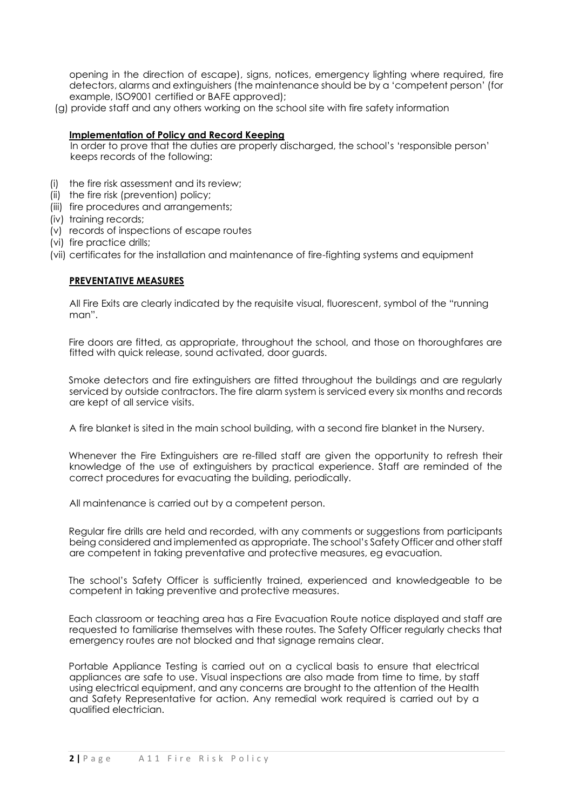opening in the direction of escape), signs, notices, emergency lighting where required, fire detectors, alarms and extinguishers (the maintenance should be by a 'competent person' (for example, ISO9001 certified or BAFE approved);

(g) provide staff and any others working on the school site with fire safety information

## **Implementation of Policy and Record Keeping**

In order to prove that the duties are properly discharged, the school's 'responsible person' keeps records of the following:

- (i) the fire risk assessment and its review;
- (ii) the fire risk (prevention) policy;
- (iii) fire procedures and arrangements;
- (iv) training records;
- (v) records of inspections of escape routes
- (vi) fire practice drills;
- (vii) certificates for the installation and maintenance of fire-fighting systems and equipment

## **PREVENTATIVE MEASURES**

All Fire Exits are clearly indicated by the requisite visual, fluorescent, symbol of the "running man".

Fire doors are fitted, as appropriate, throughout the school, and those on thoroughfares are fitted with quick release, sound activated, door guards.

Smoke detectors and fire extinguishers are fitted throughout the buildings and are regularly serviced by outside contractors. The fire alarm system is serviced every six months and records are kept of all service visits.

A fire blanket is sited in the main school building, with a second fire blanket in the Nursery.

Whenever the Fire Extinguishers are re-filled staff are given the opportunity to refresh their knowledge of the use of extinguishers by practical experience. Staff are reminded of the correct procedures for evacuating the building, periodically.

All maintenance is carried out by a competent person.

Regular fire drills are held and recorded, with any comments or suggestions from participants being considered and implemented as appropriate. The school's Safety Officer and other staff are competent in taking preventative and protective measures, eg evacuation.

The school's Safety Officer is sufficiently trained, experienced and knowledgeable to be competent in taking preventive and protective measures.

Each classroom or teaching area has a Fire Evacuation Route notice displayed and staff are requested to familiarise themselves with these routes. The Safety Officer regularly checks that emergency routes are not blocked and that signage remains clear.

Portable Appliance Testing is carried out on a cyclical basis to ensure that electrical appliances are safe to use. Visual inspections are also made from time to time, by staff using electrical equipment, and any concerns are brought to the attention of the Health and Safety Representative for action. Any remedial work required is carried out by a qualified electrician.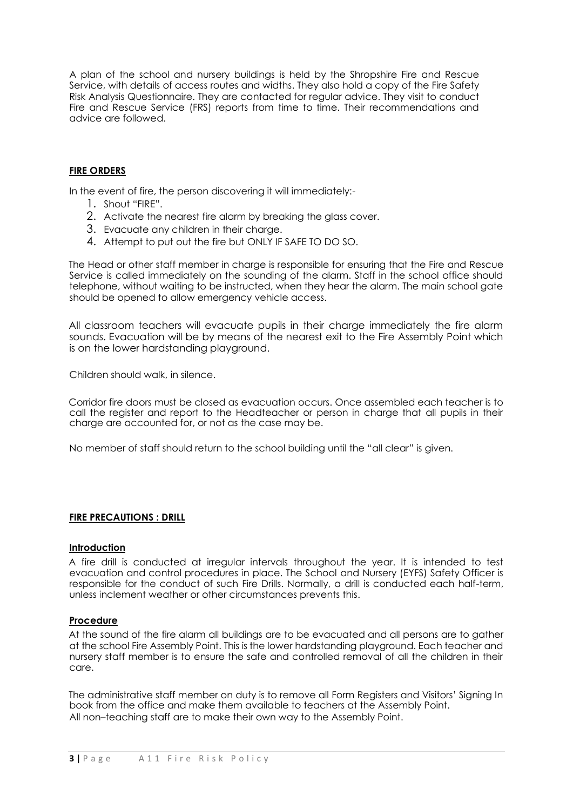A plan of the school and nursery buildings is held by the Shropshire Fire and Rescue Service, with details of access routes and widths. They also hold a copy of the Fire Safety Risk Analysis Questionnaire. They are contacted for regular advice. They visit to conduct Fire and Rescue Service (FRS) reports from time to time. Their recommendations and advice are followed.

# **FIRE ORDERS**

In the event of fire, the person discovering it will immediately:-

- 1. Shout "FIRE".
- 2. Activate the nearest fire alarm by breaking the glass cover.
- 3. Evacuate any children in their charge.
- 4. Attempt to put out the fire but ONLY IF SAFE TO DO SO.

The Head or other staff member in charge is responsible for ensuring that the Fire and Rescue Service is called immediately on the sounding of the alarm. Staff in the school office should telephone, without waiting to be instructed, when they hear the alarm. The main school gate should be opened to allow emergency vehicle access.

All classroom teachers will evacuate pupils in their charge immediately the fire alarm sounds. Evacuation will be by means of the nearest exit to the Fire Assembly Point which is on the lower hardstanding playground.

Children should walk, in silence.

Corridor fire doors must be closed as evacuation occurs. Once assembled each teacher is to call the register and report to the Headteacher or person in charge that all pupils in their charge are accounted for, or not as the case may be.

No member of staff should return to the school building until the "all clear" is given.

# **FIRE PRECAUTIONS : DRILL**

#### **Introduction**

A fire drill is conducted at irregular intervals throughout the year. It is intended to test evacuation and control procedures in place. The School and Nursery (EYFS) Safety Officer is responsible for the conduct of such Fire Drills. Normally, a drill is conducted each half-term, unless inclement weather or other circumstances prevents this.

#### **Procedure**

At the sound of the fire alarm all buildings are to be evacuated and all persons are to gather at the school Fire Assembly Point. This is the lower hardstanding playground. Each teacher and nursery staff member is to ensure the safe and controlled removal of all the children in their care.

The administrative staff member on duty is to remove all Form Registers and Visitors' Signing In book from the office and make them available to teachers at the Assembly Point. All non–teaching staff are to make their own way to the Assembly Point.